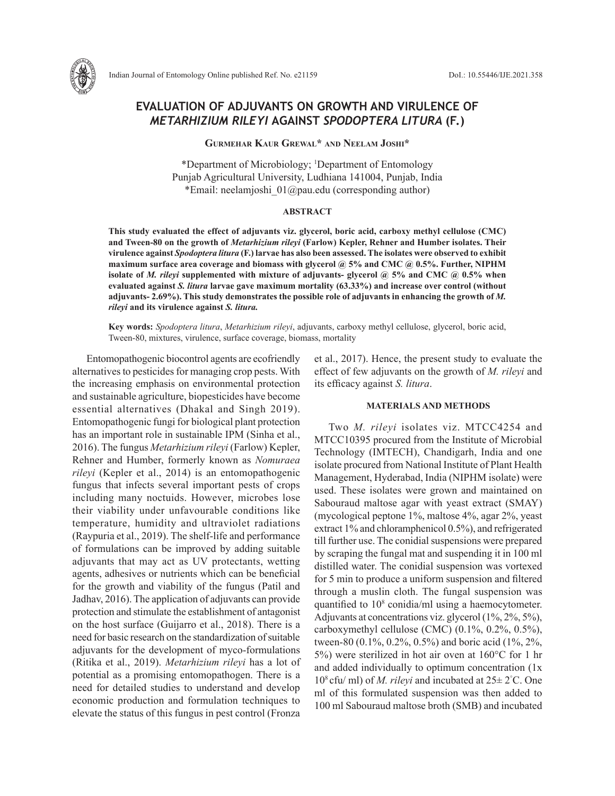

# **EVALUATION OF ADJUVANTS ON GROWTH AND VIRULENCE OF**  *METARHIZIUM RILEYI* **AGAINST** *SPODOPTERA LITURA* **(F.)**

**Gurmehar Kaur Grewal\* and Neelam Joshi\***

\*Department of Microbiology; 1 Department of Entomology Punjab Agricultural University, Ludhiana 141004, Punjab, India \*Email: neelamjoshi\_01@pau.edu (corresponding author)

#### **ABSTRACT**

**This study evaluated the effect of adjuvants viz. glycerol, boric acid, carboxy methyl cellulose (CMC) and Tween-80 on the growth of** *Metarhizium rileyi* **(Farlow) Kepler, Rehner and Humber isolates. Their virulence against** *Spodoptera litura* **(F.) larvae has also been assessed. The isolates were observed to exhibit maximum surface area coverage and biomass with glycerol @ 5% and CMC @ 0.5%. Further, NIPHM isolate of** *M. rileyi* **supplemented with mixture of adjuvants- glycerol @ 5% and CMC @ 0.5% when evaluated against** *S. litura* **larvae gave maximum mortality (63.33%) and increase over control (without adjuvants- 2.69%). This study demonstrates the possible role of adjuvants in enhancing the growth of** *M. rileyi* **and its virulence against** *S. litura.*

**Key words:** *Spodoptera litura*, *Metarhizium rileyi*, adjuvants, carboxy methyl cellulose, glycerol, boric acid, Tween-80, mixtures, virulence, surface coverage, biomass, mortality

Entomopathogenic biocontrol agents are ecofriendly alternatives to pesticides for managing crop pests. With the increasing emphasis on environmental protection and sustainable agriculture, biopesticides have become essential alternatives (Dhakal and Singh 2019). Entomopathogenic fungi for biological plant protection has an important role in sustainable IPM (Sinha et al., 2016). The fungus *Metarhizium rileyi* (Farlow) Kepler, Rehner and Humber, formerly known as *Nomuraea rileyi* (Kepler et al., 2014) is an entomopathogenic fungus that infects several important pests of crops including many noctuids. However, microbes lose their viability under unfavourable conditions like temperature, humidity and ultraviolet radiations (Raypuria et al., 2019). The shelf-life and performance of formulations can be improved by adding suitable adjuvants that may act as UV protectants, wetting agents, adhesives or nutrients which can be beneficial for the growth and viability of the fungus (Patil and Jadhav, 2016). The application of adjuvants can provide protection and stimulate the establishment of antagonist on the host surface (Guijarro et al., 2018). There is a need for basic research on the standardization of suitable adjuvants for the development of myco-formulations (Ritika et al., 2019). *Metarhizium rileyi* has a lot of potential as a promising entomopathogen. There is a need for detailed studies to understand and develop economic production and formulation techniques to elevate the status of this fungus in pest control (Fronza

et al., 2017). Hence, the present study to evaluate the effect of few adjuvants on the growth of *M. rileyi* and its efficacy against *S. litura*.

### **MATERIALS AND METHODS**

Two *M. rileyi* isolates viz. MTCC4254 and MTCC10395 procured from the Institute of Microbial Technology (IMTECH), Chandigarh, India and one isolate procured from National Institute of Plant Health Management, Hyderabad, India (NIPHM isolate) were used. These isolates were grown and maintained on Sabouraud maltose agar with yeast extract (SMAY) (mycological peptone 1%, maltose 4%, agar 2%, yeast extract 1% and chloramphenicol 0.5%), and refrigerated till further use. The conidial suspensions were prepared by scraping the fungal mat and suspending it in 100 ml distilled water. The conidial suspension was vortexed for 5 min to produce a uniform suspension and filtered through a muslin cloth. The fungal suspension was quantified to 10<sup>8</sup> conidia/ml using a haemocytometer. Adjuvants at concentrations viz. glycerol (1%, 2%, 5%), carboxymethyl cellulose (CMC) (0.1%, 0.2%, 0.5%), tween-80 (0.1%, 0.2%, 0.5%) and boric acid (1%, 2%, 5%) were sterilized in hot air oven at 160°C for 1 hr and added individually to optimum concentration (1x 108 cfu/ ml) of *M. rileyi* and incubated at 25± 2° C. One ml of this formulated suspension was then added to 100 ml Sabouraud maltose broth (SMB) and incubated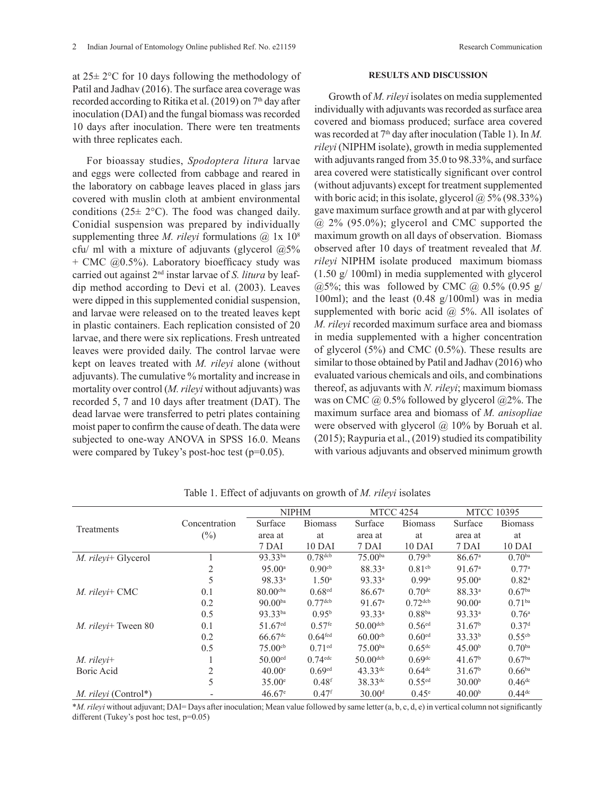at  $25\pm 2$ °C for 10 days following the methodology of Patil and Jadhav (2016). The surface area coverage was recorded according to Ritika et al. (2019) on  $7<sup>th</sup>$  day after inoculation (DAI) and the fungal biomass was recorded 10 days after inoculation. There were ten treatments with three replicates each.

For bioassay studies, *Spodoptera litura* larvae and eggs were collected from cabbage and reared in the laboratory on cabbage leaves placed in glass jars covered with muslin cloth at ambient environmental conditions  $(25 \pm 2^{\circ}C)$ . The food was changed daily. Conidial suspension was prepared by individually supplementing three *M. rileyi* formulations  $\omega$  1x 10<sup>8</sup> cfu/ ml with a mixture of adjuvants (glycerol  $(2.5\%)$  $+$  CMC  $(20.5\%)$ . Laboratory bioefficacy study was carried out against 2nd instar larvae of *S. litura* by leafdip method according to Devi et al. (2003). Leaves were dipped in this supplemented conidial suspension, and larvae were released on to the treated leaves kept in plastic containers. Each replication consisted of 20 larvae, and there were six replications. Fresh untreated leaves were provided daily. The control larvae were kept on leaves treated with *M. rileyi* alone (without adjuvants). The cumulative % mortality and increase in mortality over control (*M. rileyi* without adjuvants) was recorded 5, 7 and 10 days after treatment (DAT). The dead larvae were transferred to petri plates containing moist paper to confirm the cause of death. The data were subjected to one-way ANOVA in SPSS 16.0. Means were compared by Tukey's post-hoc test (p=0.05).

# **RESULTS AND DISCUSSION**

Growth of *M. rileyi* isolates on media supplemented individually with adjuvants was recorded as surface area covered and biomass produced; surface area covered was recorded at 7<sup>th</sup> day after inoculation (Table 1). In *M*. *rileyi* (NIPHM isolate), growth in media supplemented with adjuvants ranged from 35.0 to 98.33%, and surface area covered were statistically significant over control (without adjuvants) except for treatment supplemented with boric acid; in this isolate, glycerol  $\omega$  5% (98.33%) gave maximum surface growth and at par with glycerol  $(a)$  2% (95.0%); glycerol and CMC supported the maximum growth on all days of observation. Biomass observed after 10 days of treatment revealed that *M. rileyi* NIPHM isolate produced maximum biomass (1.50 g/ 100ml) in media supplemented with glycerol  $(a)$ 5%; this was followed by CMC  $(a)$  0.5%  $(0.95 \text{ g})$ 100ml); and the least (0.48 g/100ml) was in media supplemented with boric acid  $\omega$  5%. All isolates of *M. rileyi* recorded maximum surface area and biomass in media supplemented with a higher concentration of glycerol (5%) and CMC (0.5%). These results are similar to those obtained by Patil and Jadhav (2016) who evaluated various chemicals and oils, and combinations thereof, as adjuvants with *N. rileyi*; maximum biomass was on CMC  $\omega$  0.5% followed by glycerol  $\omega$ 2%. The maximum surface area and biomass of *M. anisopliae*  were observed with glycerol  $\omega$  10% by Boruah et al. (2015); Raypuria et al., (2019) studied its compatibility with various adjuvants and observed minimum growth

|                      |               | <b>NIPHM</b>          |                       | <b>MTCC 4254</b>     |                      | <b>MTCC 10395</b>    |                    |
|----------------------|---------------|-----------------------|-----------------------|----------------------|----------------------|----------------------|--------------------|
|                      | Concentration | Surface               | <b>Biomass</b>        | Surface              | <b>Biomass</b>       | Surface              | <b>Biomass</b>     |
| Treatments           | $(\%)$        | area at               | at                    | area at              | at                   | area at              | at                 |
|                      |               | 7 DAI                 | 10 DAI                | 7 DAI                | 10 DAI               | 7 DAI                | 10 DAI             |
| M. rileyi+ Glycerol  |               | 93.33ba               | $0.78$ dcb            | $75.00^{ba}$         | $0.79$ <sup>cb</sup> | $86.67$ <sup>a</sup> | $0.70^{ba}$        |
|                      | 2             | 95.00a                | $0.90$ <sup>cb</sup>  | 88.33 <sup>a</sup>   | $0.81$ cb            | 91.67 <sup>a</sup>   | 0.77a              |
|                      | 5             | 98.33 <sup>a</sup>    | 1.50 <sup>a</sup>     | 93.33 <sup>a</sup>   | 0.99a                | 95.00a               | $0.82^{a}$         |
| M. rileyi+ CMC       | 0.1           | $80.00$ cba           | $0.68$ <sup>ed</sup>  | $86.67$ <sup>a</sup> | 0.70 <sup>dc</sup>   | 88.33 <sup>a</sup>   | 0.67 <sup>ba</sup> |
|                      | 0.2           | $90.00^{ba}$          | $0.77$ dcb            | 91.67 <sup>a</sup>   | $0.72$ dcb           | $90.00$ <sup>a</sup> | 0.71 <sup>ba</sup> |
|                      | 0.5           | 93.33ba               | $0.95^{b}$            | 93.33ª               | 0.88 <sup>ba</sup>   | 93.33 <sup>a</sup>   | 0.76 <sup>a</sup>  |
| M. rileyi+ Tween 80  | 0.1           | 51.67 <sup>ed</sup>   | $0.57$ <sup>fe</sup>  | $50.00^{dcb}$        | $0.56$ <sup>ed</sup> | 31.67 <sup>b</sup>   | 0.37 <sup>d</sup>  |
|                      | 0.2           | $66.67$ <sup>dc</sup> | 0.64 <sup>fed</sup>   | $60.00^{cb}$         | 0.60 <sup>ed</sup>   | $33.33^{b}$          | $0.55^{cb}$        |
|                      | 0.5           | $75.00^{cb}$          | $0.71$ <sup>ed</sup>  | $75.00^{ba}$         | 0.65 <sup>dc</sup>   | 45.00 <sup>b</sup>   | $0.70^{ba}$        |
| $M.$ rileyi+         |               | $50.00$ <sup>ed</sup> | $0.74$ <sup>edc</sup> | $50.00$ dcb          | 0.69 <sup>dc</sup>   | 41.67 <sup>b</sup>   | 0.67 <sup>ba</sup> |
| Boric Acid           | 2             | $40.00^{\circ}$       | 0.69 <sup>ed</sup>    | $43.33^{de}$         | $0.64^{dc}$          | 31.67 <sup>b</sup>   | $0.66^{ba}$        |
|                      | 5             | $35.00^{\circ}$       | 0.48 <sup>f</sup>     | $38.33^{de}$         | $0.55$ <sup>ed</sup> | 30.00 <sup>b</sup>   | $0.46^{dc}$        |
| M. rileyi (Control*) |               | $46.67^{\circ}$       | $0.47$ <sup>f</sup>   | 30.00 <sup>d</sup>   | $0.45^{\circ}$       | 40.00 <sup>b</sup>   | $0.44^{dc}$        |

Table 1. Effect of adjuvants on growth of *M. rileyi* isolates

\**M. rileyi* without adjuvant; DAI= Days after inoculation; Mean value followed by same letter (a, b, c, d, e) in vertical column not significantly different (Tukey's post hoc test,  $p=0.05$ )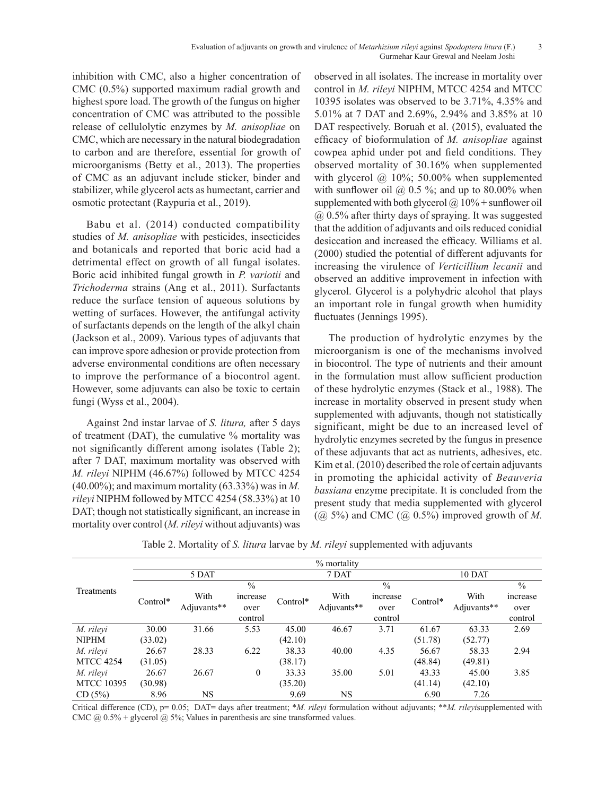inhibition with CMC, also a higher concentration of CMC (0.5%) supported maximum radial growth and highest spore load. The growth of the fungus on higher concentration of CMC was attributed to the possible release of cellulolytic enzymes by *M. anisopliae* on CMC, which are necessary in the natural biodegradation to carbon and are therefore, essential for growth of microorganisms (Betty et al., 2013). The properties of CMC as an adjuvant include sticker, binder and stabilizer, while glycerol acts as humectant, carrier and osmotic protectant (Raypuria et al., 2019).

Babu et al. (2014) conducted compatibility studies of *M. anisopliae* with pesticides, insecticides and botanicals and reported that boric acid had a detrimental effect on growth of all fungal isolates. Boric acid inhibited fungal growth in *P. variotii* and *Trichoderma* strains (Ang et al., 2011). Surfactants reduce the surface tension of aqueous solutions by wetting of surfaces. However, the antifungal activity of surfactants depends on the length of the alkyl chain (Jackson et al., 2009). Various types of adjuvants that can improve spore adhesion or provide protection from adverse environmental conditions are often necessary to improve the performance of a biocontrol agent. However, some adjuvants can also be toxic to certain fungi (Wyss et al., 2004).

Against 2nd instar larvae of *S. litura,* after 5 days of treatment (DAT), the cumulative % mortality was not significantly different among isolates (Table 2); after 7 DAT, maximum mortality was observed with *M. rileyi* NIPHM (46.67%) followed by MTCC 4254 (40.00%); and maximum mortality (63.33%) was in *M. rileyi* NIPHM followed by MTCC 4254 (58.33%) at 10 DAT; though not statistically significant, an increase in mortality over control (*M. rileyi* without adjuvants) was observed in all isolates. The increase in mortality over control in *M. rileyi* NIPHM, MTCC 4254 and MTCC 10395 isolates was observed to be 3.71%, 4.35% and 5.01% at 7 DAT and 2.69%, 2.94% and 3.85% at 10 DAT respectively. Boruah et al. (2015), evaluated the efficacy of bioformulation of *M. anisopliae* against cowpea aphid under pot and field conditions. They observed mortality of 30.16% when supplemented with glycerol  $\omega$  10%; 50.00% when supplemented with sunflower oil  $\omega$  0.5 %; and up to 80.00% when supplemented with both glycerol  $\omega$  10% + sunflower oil @ 0.5% after thirty days of spraying. It was suggested that the addition of adjuvants and oils reduced conidial desiccation and increased the efficacy. Williams et al. (2000) studied the potential of different adjuvants for increasing the virulence of *Verticillium lecanii* and observed an additive improvement in infection with glycerol. Glycerol is a polyhydric alcohol that plays an important role in fungal growth when humidity fluctuates (Jennings 1995).

The production of hydrolytic enzymes by the microorganism is one of the mechanisms involved in biocontrol. The type of nutrients and their amount in the formulation must allow sufficient production of these hydrolytic enzymes (Stack et al., 1988). The increase in mortality observed in present study when supplemented with adjuvants, though not statistically significant, might be due to an increased level of hydrolytic enzymes secreted by the fungus in presence of these adjuvants that act as nutrients, adhesives, etc. Kim et al. (2010) described the role of certain adjuvants in promoting the aphicidal activity of *Beauveria bassiana* enzyme precipitate. It is concluded from the present study that media supplemented with glycerol  $(Q\bar{Q})$  5%) and CMC  $(Q\bar{Q})$  0.5%) improved growth of *M*.

|                   | % mortality |                     |               |          |             |               |          |               |          |
|-------------------|-------------|---------------------|---------------|----------|-------------|---------------|----------|---------------|----------|
| Treatments        | 5 DAT       |                     |               | 7 DAT    |             |               | 10 DAT   |               |          |
|                   |             |                     | $\frac{0}{0}$ |          |             | $\frac{0}{0}$ |          | $\frac{0}{0}$ |          |
|                   | Control*    | With<br>Adjuvants** | increase      | Control* | With        | increase      | Control* | With          | increase |
|                   |             |                     | over          |          | Adjuvants** | over          |          | Adjuvants**   | over     |
|                   |             |                     | control       |          |             | control       |          |               | control  |
| M. rileyi         | 30.00       | 31.66               | 5.53          | 45.00    | 46.67       | 3.71          | 61.67    | 63.33         | 2.69     |
| <b>NIPHM</b>      | (33.02)     |                     |               | (42.10)  |             |               | (51.78)  | (52.77)       |          |
| M. rileyi         | 26.67       | 28.33               | 6.22          | 38.33    | 40.00       | 4.35          | 56.67    | 58.33         | 2.94     |
| <b>MTCC 4254</b>  | (31.05)     |                     |               | (38.17)  |             |               | (48.84)  | (49.81)       |          |
| M. rileyi         | 26.67       | 26.67               | $\theta$      | 33.33    | 35.00       | 5.01          | 43.33    | 45.00         | 3.85     |
| <b>MTCC 10395</b> | (30.98)     |                     |               | (35.20)  |             |               | (41.14)  | (42.10)       |          |
| CD (5%)           | 8.96        | NS                  |               | 9.69     | NS          |               | 6.90     | 7.26          |          |

Table 2. Mortality of *S. litura* larvae by *M. rileyi* supplemented with adjuvants

Critical difference (CD), p= 0.05; DAT= days after treatment; \**M. rileyi* formulation without adjuvants; \*\**M. rileyi*supplemented with CMC  $@$  0.5% + glycerol  $@$  5%; Values in parenthesis arc sine transformed values.